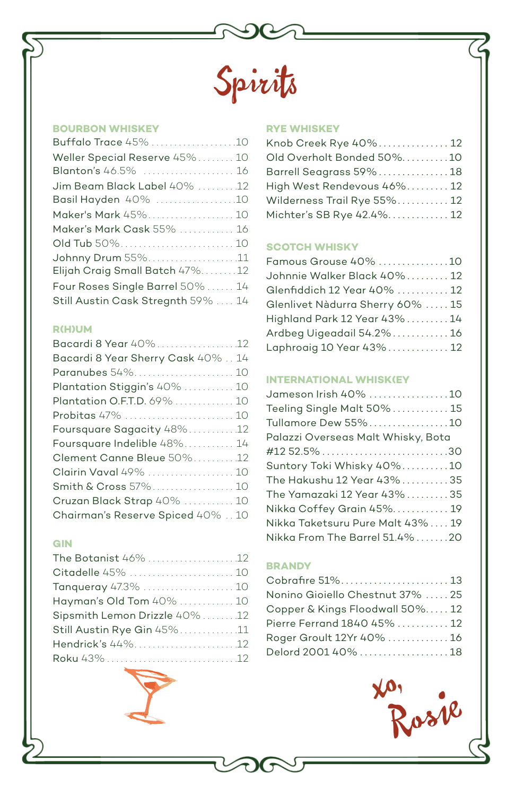

#### **BOURBON WHISKEY**

| Buffalo Trace 45% 10               |  |
|------------------------------------|--|
| Weller Special Reserve 45% 10      |  |
| Blanton's 46.5%  16                |  |
| Jim Beam Black Label 40% 12        |  |
| Basil Hayden 40% 10                |  |
| Maker's Mark 45% 10                |  |
| Maker's Mark Cask 55%  16          |  |
| Old Tub 50% 10                     |  |
| Johnny Drum 55%11                  |  |
| Elijah Craig Small Batch 47%12     |  |
| Four Roses Single Barrel 50%  14   |  |
| Still Austin Cask Stregnth 59%  14 |  |
|                                    |  |

| <b>R(H)UM</b>                      |
|------------------------------------|
| Bacardi 8 Year 40%12               |
| Bacardi 8 Year Sherry Cask 40%  14 |
|                                    |
| Plantation Stiggin's 40%  10       |
| Plantation O.F.T.D. 69%  10        |
| Probitas 47%  10                   |
| Foursquare Sagacity 48%12          |
| Foursquare Indelible 48% 14        |
| Clement Canne Bleue 50%12          |
| Clairin Vaval 49%  10              |
| Smith & Cross 57% 10               |
| Cruzan Black Strap 40%  10         |
| Chairman's Reserve Spiced 40%  10  |

### **GIN**

| The Botanist 46% 12            |  |
|--------------------------------|--|
| Citadelle 45%  10              |  |
| Tanqueray 47.3%  10            |  |
| Hayman's Old Tom 40%  10       |  |
| Sipsmith Lemon Drizzle 40%  12 |  |
| Still Austin Rye Gin 45%11     |  |
| Hendrick's 44%12               |  |
|                                |  |

# **RYE WHISKEY**

| Knob Creek Rye 40% 12       |  |
|-----------------------------|--|
| Old Overholt Bonded 50%10   |  |
| Barrell Seagrass 59% 18     |  |
| High West Rendevous 46% 12  |  |
| Wilderness Trail Rye 55% 12 |  |
| Michter's SB Rye 42.4% 12   |  |

### **SCOTCH WHISKY**

| Famous Grouse 40% 10             |  |
|----------------------------------|--|
| Johnnie Walker Black 40% 12      |  |
| Glenfiddich 12 Year 40%  12      |  |
| Glenlivet Nàdurra Sherry 60%  15 |  |
| Highland Park 12 Year 43% 14     |  |
| Ardbeg Uigeadail 54.2% 16        |  |
| Laphroaig 10 Year 43% 12         |  |
|                                  |  |

#### **INTERNATIONAL WHISK(EY)**

| Jameson Irish 40% 10               |  |
|------------------------------------|--|
| Teeling Single Malt 50% 15         |  |
| Tullamore Dew 55%10                |  |
| Palazzi Overseas Malt Whisky, Bota |  |
|                                    |  |
| Suntory Toki Whisky 40%10          |  |
| The Hakushu 12 Year 43%35          |  |
| The Yamazaki 12 Year 43%35         |  |
| Nikka Coffey Grain 45% 19          |  |
| Nikka Taketsuru Pure Malt 43% 19   |  |
| Nikka From The Barrel 51.4%20      |  |

### **BRANDY**

| Rosk                            |
|---------------------------------|
| Delord 2001 40% 18              |
| Roger Groult 12Yr 40% 16        |
| Pierre Ferrand 1840 45% 12      |
| Copper & Kings Floodwall 50% 12 |
| Nonino Gioiello Chestnut 37% 25 |
|                                 |